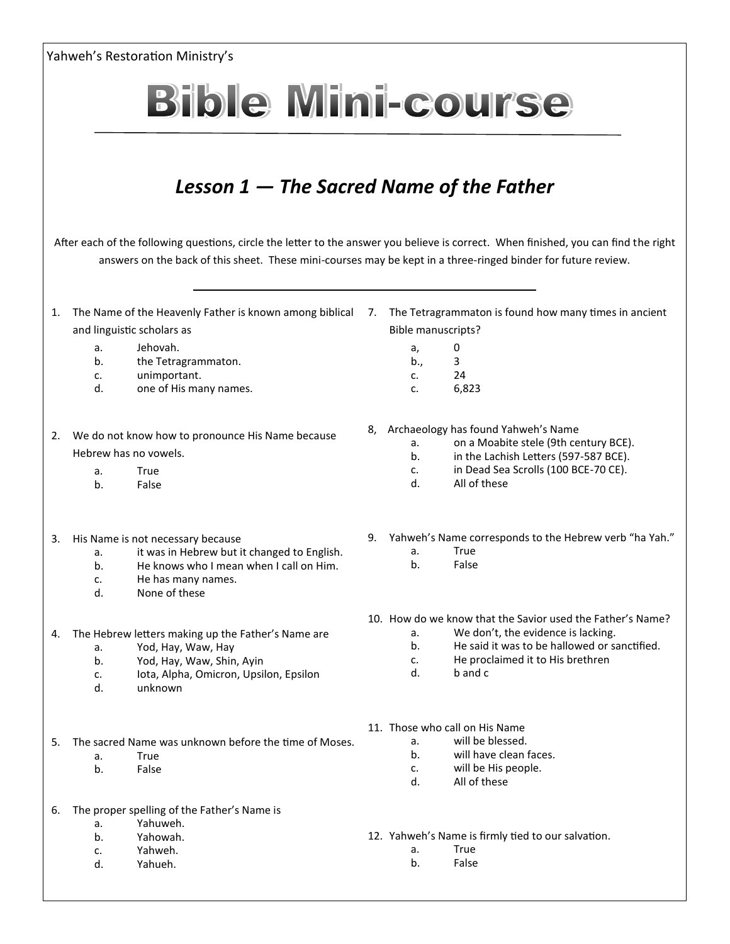|    |                                                         | Yahweh's Restoration Ministry's                                                                                                      |    |                                                       |                                                                               |
|----|---------------------------------------------------------|--------------------------------------------------------------------------------------------------------------------------------------|----|-------------------------------------------------------|-------------------------------------------------------------------------------|
|    |                                                         | <b>Bible Mini-course</b>                                                                                                             |    |                                                       |                                                                               |
|    |                                                         |                                                                                                                                      |    |                                                       |                                                                               |
|    |                                                         |                                                                                                                                      |    |                                                       |                                                                               |
|    |                                                         | Lesson $1$ $-$ The Sacred Name of the Father                                                                                         |    |                                                       |                                                                               |
|    |                                                         | After each of the following questions, circle the letter to the answer you believe is correct. When finished, you can find the right |    |                                                       |                                                                               |
|    |                                                         | answers on the back of this sheet. These mini-courses may be kept in a three-ringed binder for future review.                        |    |                                                       |                                                                               |
| 1. | The Name of the Heavenly Father is known among biblical |                                                                                                                                      | 7. | The Tetragrammaton is found how many times in ancient |                                                                               |
|    | and linguistic scholars as                              |                                                                                                                                      |    | <b>Bible manuscripts?</b>                             |                                                                               |
|    | a.                                                      | Jehovah.                                                                                                                             |    | a,                                                    | 0                                                                             |
|    | b.<br>c.                                                | the Tetragrammaton.<br>unimportant.                                                                                                  |    | b.,<br>c.                                             | 3<br>24                                                                       |
|    | d.                                                      | one of His many names.                                                                                                               |    | c.                                                    | 6,823                                                                         |
| 2. |                                                         | We do not know how to pronounce His Name because                                                                                     |    |                                                       | 8, Archaeology has found Yahweh's Name                                        |
|    | Hebrew has no vowels.                                   |                                                                                                                                      |    | а.                                                    | on a Moabite stele (9th century BCE).                                         |
|    | a.                                                      | True                                                                                                                                 |    | b.<br>c.                                              | in the Lachish Letters (597-587 BCE).<br>in Dead Sea Scrolls (100 BCE-70 CE). |
|    | b <sub>1</sub>                                          | False                                                                                                                                |    | d.                                                    | All of these                                                                  |
| 3. |                                                         | His Name is not necessary because                                                                                                    | 9. |                                                       | Yahweh's Name corresponds to the Hebrew verb "ha Yah."                        |
|    | a.                                                      | it was in Hebrew but it changed to English.                                                                                          |    | а.                                                    | True                                                                          |
|    | b.                                                      | He knows who I mean when I call on Him.                                                                                              |    | b.                                                    | False                                                                         |
|    | c.<br>d.                                                | He has many names.<br>None of these                                                                                                  |    |                                                       |                                                                               |
|    |                                                         |                                                                                                                                      |    |                                                       | 10. How do we know that the Savior used the Father's Name?                    |
| 4. |                                                         | The Hebrew letters making up the Father's Name are                                                                                   |    | а.                                                    | We don't, the evidence is lacking.                                            |
|    | a.                                                      | Yod, Hay, Waw, Hay                                                                                                                   |    | b.                                                    | He said it was to be hallowed or sanctified.                                  |
|    | b.<br>c.                                                | Yod, Hay, Waw, Shin, Ayin<br>Iota, Alpha, Omicron, Upsilon, Epsilon                                                                  |    | c.<br>d.                                              | He proclaimed it to His brethren<br>b and c                                   |
|    | d.                                                      | unknown                                                                                                                              |    |                                                       |                                                                               |
|    |                                                         |                                                                                                                                      |    | 11. Those who call on His Name                        |                                                                               |
| 5. |                                                         | The sacred Name was unknown before the time of Moses.                                                                                |    | a.                                                    | will be blessed.                                                              |
|    | a.<br>b.                                                | True<br>False                                                                                                                        |    | b <sub>1</sub><br>C <sub>1</sub>                      | will have clean faces.<br>will be His people.                                 |
|    |                                                         |                                                                                                                                      |    | d.                                                    | All of these                                                                  |
| 6. | a.                                                      | The proper spelling of the Father's Name is<br>Yahuweh.                                                                              |    |                                                       |                                                                               |
|    | b.                                                      | Yahowah.                                                                                                                             |    |                                                       | 12. Yahweh's Name is firmly tied to our salvation.                            |
|    | c.                                                      | Yahweh.                                                                                                                              |    | а.                                                    | True                                                                          |
|    | d.                                                      | Yahueh.                                                                                                                              |    | b.                                                    | False                                                                         |